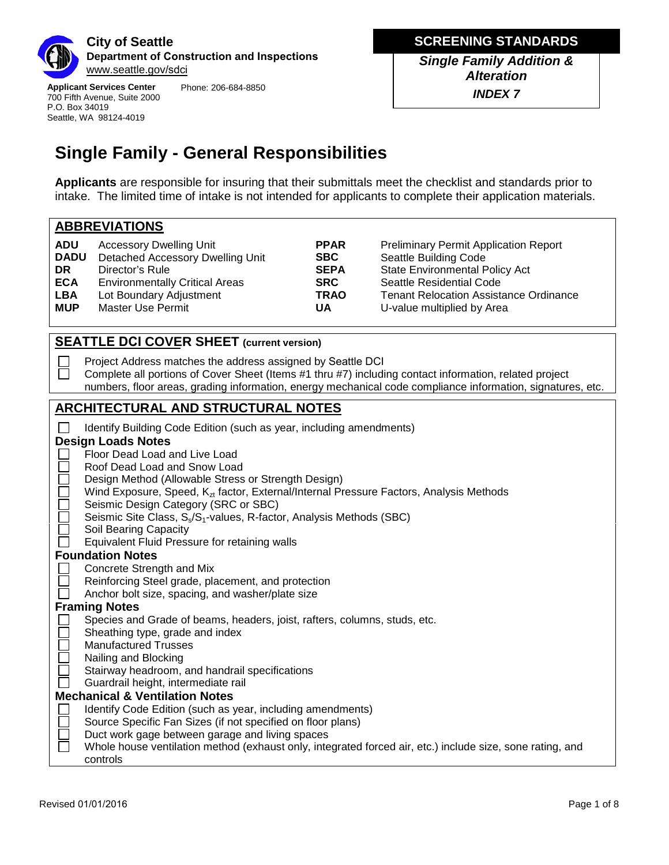

**Applicant Services Center** 700 Fifth Avenue, Suite 2000 P.O. Box 34019 Seattle, WA 98124-4019 Phone: 206-684-8850 **MINOR TELECOMM Drop-Off Submittal** *Single Family Addition & Alteration INDEX 7*

# **Single Family - General Responsibilities**

**Applicants** are responsible for insuring that their submittals meet the checklist and standards prior to intake. The limited time of intake is not intended for applicants to complete their application materials.

## **ABBREVIATIONS**

 $\overline{\phantom{0}}$ 

| <b>ADU</b><br><b>DADU</b><br>DR. | <b>Accessory Dwelling Unit</b><br>Detached Accessory Dwelling Unit<br>Director's Rule | <b>PPAR</b><br><b>SBC</b><br><b>SEPA</b> | <b>Preliminary Permit Application Report</b><br>Seattle Building Code<br><b>State Environmental Policy Act</b> |
|----------------------------------|---------------------------------------------------------------------------------------|------------------------------------------|----------------------------------------------------------------------------------------------------------------|
| <b>ECA</b>                       | <b>Environmentally Critical Areas</b>                                                 | <b>SRC</b>                               | Seattle Residential Code                                                                                       |
| <b>LBA</b>                       | Lot Boundary Adjustment                                                               | <b>TRAO</b>                              | <b>Tenant Relocation Assistance Ordinance</b>                                                                  |
| <b>MUP</b>                       | Master Use Permit                                                                     | UA                                       | U-value multiplied by Area                                                                                     |

# **SEATTLE DCI COVER SHEET (current version)**

Project Address matches the address assigned by Seattle DCI  $\mathsf{L}$  $\Box$ Complete all portions of Cover Sheet (Items #1 thru #7) including contact information, related project numbers, floor areas, grading information, energy mechanical code compliance information, signatures, etc.

# **ARCHITECTURAL AND STRUCTURAL NOTES**

| Identify Building Code Edition (such as year, including amendments)                                       |  |  |  |  |
|-----------------------------------------------------------------------------------------------------------|--|--|--|--|
| <b>Design Loads Notes</b>                                                                                 |  |  |  |  |
| Floor Dead Load and Live Load                                                                             |  |  |  |  |
| Roof Dead Load and Snow Load                                                                              |  |  |  |  |
| Design Method (Allowable Stress or Strength Design)                                                       |  |  |  |  |
| Wind Exposure, Speed, $K_{zt}$ factor, External/Internal Pressure Factors, Analysis Methods               |  |  |  |  |
| Seismic Design Category (SRC or SBC)                                                                      |  |  |  |  |
| Seismic Site Class, S <sub>s</sub> /S <sub>1</sub> -values, R-factor, Analysis Methods (SBC)              |  |  |  |  |
| Soil Bearing Capacity                                                                                     |  |  |  |  |
| Equivalent Fluid Pressure for retaining walls                                                             |  |  |  |  |
| <b>Foundation Notes</b>                                                                                   |  |  |  |  |
| Concrete Strength and Mix                                                                                 |  |  |  |  |
| Reinforcing Steel grade, placement, and protection                                                        |  |  |  |  |
| Anchor bolt size, spacing, and washer/plate size                                                          |  |  |  |  |
| <b>Framing Notes</b>                                                                                      |  |  |  |  |
| Species and Grade of beams, headers, joist, rafters, columns, studs, etc.                                 |  |  |  |  |
| Sheathing type, grade and index                                                                           |  |  |  |  |
| <b>Manufactured Trusses</b>                                                                               |  |  |  |  |
| Nailing and Blocking                                                                                      |  |  |  |  |
| Stairway headroom, and handrail specifications                                                            |  |  |  |  |
| Guardrail height, intermediate rail                                                                       |  |  |  |  |
| <b>Mechanical &amp; Ventilation Notes</b>                                                                 |  |  |  |  |
| Identify Code Edition (such as year, including amendments)                                                |  |  |  |  |
| Source Specific Fan Sizes (if not specified on floor plans)                                               |  |  |  |  |
| Duct work gage between garage and living spaces                                                           |  |  |  |  |
| Whole house ventilation method (exhaust only, integrated forced air, etc.) include size, sone rating, and |  |  |  |  |
| controls                                                                                                  |  |  |  |  |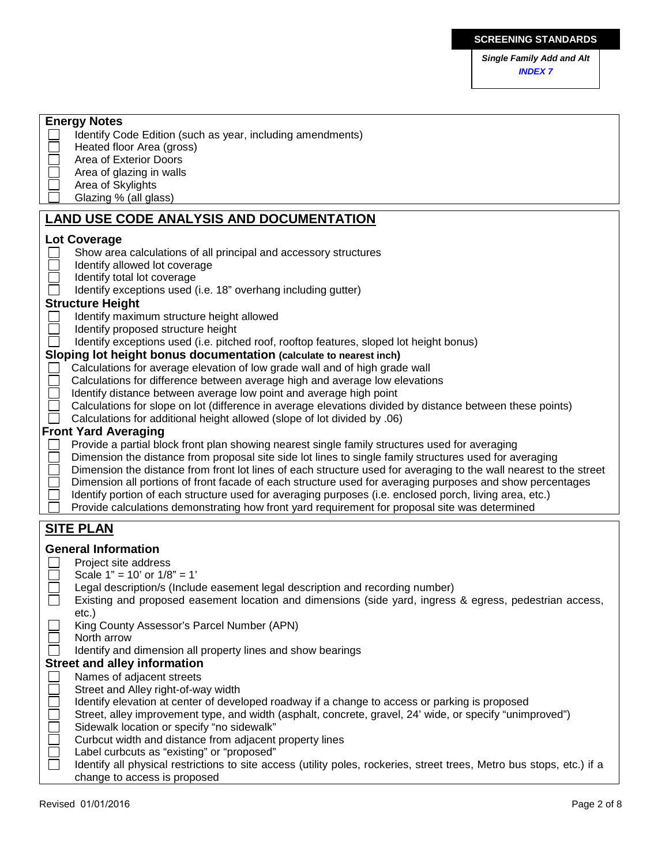| <b>Single Family Add and Alt</b> |  |
|----------------------------------|--|
| <b>INDEX7</b>                    |  |

| <b>Energy Notes</b>                                                                                                    |
|------------------------------------------------------------------------------------------------------------------------|
| Identify Code Edition (such as year, including amendments)                                                             |
| Heated floor Area (gross)                                                                                              |
| Area of Exterior Doors                                                                                                 |
| Area of glazing in walls                                                                                               |
| Area of Skylights                                                                                                      |
| Glazing % (all glass)                                                                                                  |
| <b>LAND USE CODE ANALYSIS AND DOCUMENTATION</b>                                                                        |
| <b>Lot Coverage</b>                                                                                                    |
| Show area calculations of all principal and accessory structures                                                       |
| Identify allowed lot coverage                                                                                          |
| Identify total lot coverage                                                                                            |
| Identify exceptions used (i.e. 18" overhang including gutter)                                                          |
| <b>Structure Height</b>                                                                                                |
|                                                                                                                        |
| Identify maximum structure height allowed                                                                              |
| Identify proposed structure height                                                                                     |
| Identify exceptions used (i.e. pitched roof, rooftop features, sloped lot height bonus)                                |
| Sloping lot height bonus documentation (calculate to nearest inch)                                                     |
| Calculations for average elevation of low grade wall and of high grade wall                                            |
| Calculations for difference between average high and average low elevations                                            |
| Identify distance between average low point and average high point                                                     |
| Calculations for slope on lot (difference in average elevations divided by distance between these points)              |
| Calculations for additional height allowed (slope of lot divided by .06)                                               |
| <b>Front Yard Averaging</b>                                                                                            |
| Provide a partial block front plan showing nearest single family structures used for averaging                         |
| Dimension the distance from proposal site side lot lines to single family structures used for averaging                |
| Dimension the distance from front lot lines of each structure used for averaging to the wall nearest to the street     |
| Dimension all portions of front facade of each structure used for averaging purposes and show percentages              |
| Identify portion of each structure used for averaging purposes (i.e. enclosed porch, living area, etc.)                |
| Provide calculations demonstrating how front yard requirement for proposal site was determined                         |
| <b>SITE PLAN</b>                                                                                                       |
| <b>General Information</b>                                                                                             |
| Project site address                                                                                                   |
| Scale $1" = 10'$ or $1/8" = 1'$                                                                                        |
| Legal description/s (Include easement legal description and recording number)                                          |
| Existing and proposed easement location and dimensions (side yard, ingress & egress, pedestrian access                 |
| $etc.$ )                                                                                                               |
| King County Assessor's Parcel Number (APN)                                                                             |
| North arrow                                                                                                            |
| Identify and dimension all property lines and show bearings                                                            |
| <b>Street and alley information</b>                                                                                    |
| Names of adjacent streets                                                                                              |
| Street and Alley right-of-way width                                                                                    |
| Identify elevation at center of developed roadway if a change to access or parking is proposed                         |
| Street, alley improvement type, and width (asphalt, concrete, gravel, 24' wide, or specify "unimproved")               |
| Sidewalk location or specify "no sidewalk"                                                                             |
| Curbcut width and distance from adjacent property lines                                                                |
| Label curbcuts as "existing" or "proposed"                                                                             |
| Identify all physical restrictions to site access (utility poles, rockeries, street trees, Metro bus stops, etc.) if a |
| change to access is proposed                                                                                           |
|                                                                                                                        |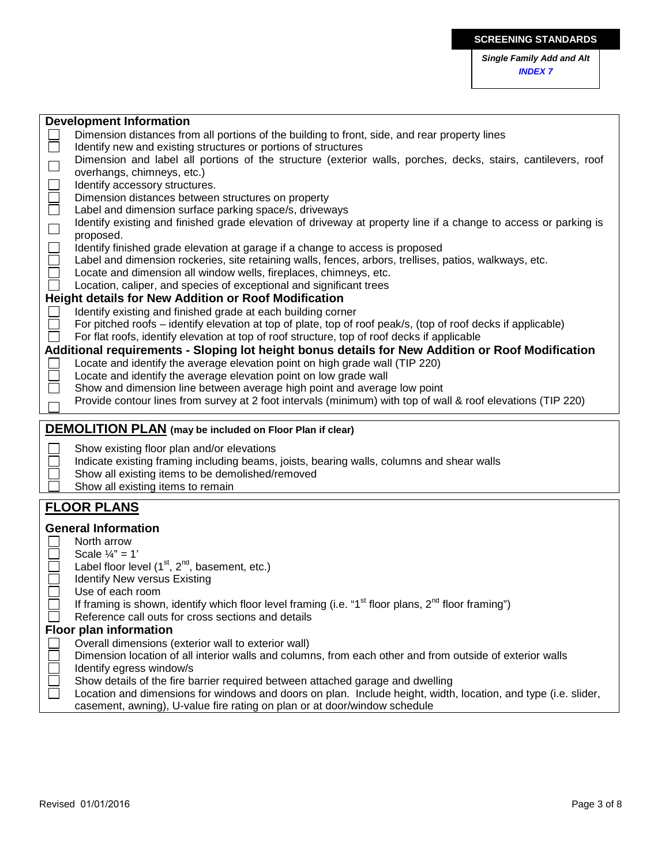|        | <b>Development Information</b>                                                                                                                                                              |  |  |  |  |  |
|--------|---------------------------------------------------------------------------------------------------------------------------------------------------------------------------------------------|--|--|--|--|--|
|        | Dimension distances from all portions of the building to front, side, and rear property lines                                                                                               |  |  |  |  |  |
|        | Identify new and existing structures or portions of structures                                                                                                                              |  |  |  |  |  |
|        | Dimension and label all portions of the structure (exterior walls, porches, decks, stairs, cantilevers, roof                                                                                |  |  |  |  |  |
| $\Box$ | overhangs, chimneys, etc.)                                                                                                                                                                  |  |  |  |  |  |
| $\Box$ | Identify accessory structures.                                                                                                                                                              |  |  |  |  |  |
|        | Dimension distances between structures on property                                                                                                                                          |  |  |  |  |  |
| Ō      | Label and dimension surface parking space/s, driveways                                                                                                                                      |  |  |  |  |  |
|        | Identify existing and finished grade elevation of driveway at property line if a change to access or parking is<br>proposed.                                                                |  |  |  |  |  |
|        | Identify finished grade elevation at garage if a change to access is proposed                                                                                                               |  |  |  |  |  |
|        | Label and dimension rockeries, site retaining walls, fences, arbors, trellises, patios, walkways, etc.                                                                                      |  |  |  |  |  |
|        | Locate and dimension all window wells, fireplaces, chimneys, etc.                                                                                                                           |  |  |  |  |  |
|        | Location, caliper, and species of exceptional and significant trees                                                                                                                         |  |  |  |  |  |
|        | <b>Height details for New Addition or Roof Modification</b>                                                                                                                                 |  |  |  |  |  |
|        | Identify existing and finished grade at each building corner                                                                                                                                |  |  |  |  |  |
|        | For pitched roofs – identify elevation at top of plate, top of roof peak/s, (top of roof decks if applicable)                                                                               |  |  |  |  |  |
|        | For flat roofs, identify elevation at top of roof structure, top of roof decks if applicable                                                                                                |  |  |  |  |  |
|        | Additional requirements - Sloping lot height bonus details for New Addition or Roof Modification                                                                                            |  |  |  |  |  |
|        | Locate and identify the average elevation point on high grade wall (TIP 220)                                                                                                                |  |  |  |  |  |
|        | Locate and identify the average elevation point on low grade wall                                                                                                                           |  |  |  |  |  |
|        | Show and dimension line between average high point and average low point                                                                                                                    |  |  |  |  |  |
|        | Provide contour lines from survey at 2 foot intervals (minimum) with top of wall & roof elevations (TIP 220)                                                                                |  |  |  |  |  |
|        |                                                                                                                                                                                             |  |  |  |  |  |
|        |                                                                                                                                                                                             |  |  |  |  |  |
|        | <b>DEMOLITION PLAN</b> (may be included on Floor Plan if clear)                                                                                                                             |  |  |  |  |  |
|        | Show existing floor plan and/or elevations                                                                                                                                                  |  |  |  |  |  |
|        | Indicate existing framing including beams, joists, bearing walls, columns and shear walls                                                                                                   |  |  |  |  |  |
|        | Show all existing items to be demolished/removed                                                                                                                                            |  |  |  |  |  |
|        | Show all existing items to remain                                                                                                                                                           |  |  |  |  |  |
|        | <b>FLOOR PLANS</b>                                                                                                                                                                          |  |  |  |  |  |
|        |                                                                                                                                                                                             |  |  |  |  |  |
|        | <b>General Information</b>                                                                                                                                                                  |  |  |  |  |  |
|        | North arrow                                                                                                                                                                                 |  |  |  |  |  |
|        | Scale $\frac{1}{4}$ " = 1'                                                                                                                                                                  |  |  |  |  |  |
|        | Label floor level $(1st, 2nd)$ , basement, etc.)                                                                                                                                            |  |  |  |  |  |
|        | <b>Identify New versus Existing</b>                                                                                                                                                         |  |  |  |  |  |
|        | Use of each room                                                                                                                                                                            |  |  |  |  |  |
|        | If framing is shown, identify which floor level framing (i.e. "1 <sup>st</sup> floor plans, $2^{nd}$ floor framing")                                                                        |  |  |  |  |  |
|        | Reference call outs for cross sections and details                                                                                                                                          |  |  |  |  |  |
|        | <b>Floor plan information</b>                                                                                                                                                               |  |  |  |  |  |
|        | Overall dimensions (exterior wall to exterior wall)                                                                                                                                         |  |  |  |  |  |
|        | Dimension location of all interior walls and columns, from each other and from outside of exterior walls                                                                                    |  |  |  |  |  |
|        | Identify egress window/s                                                                                                                                                                    |  |  |  |  |  |
|        | Show details of the fire barrier required between attached garage and dwelling                                                                                                              |  |  |  |  |  |
|        | Location and dimensions for windows and doors on plan. Include height, width, location, and type (i.e. slider,<br>casement, awning), U-value fire rating on plan or at door/window schedule |  |  |  |  |  |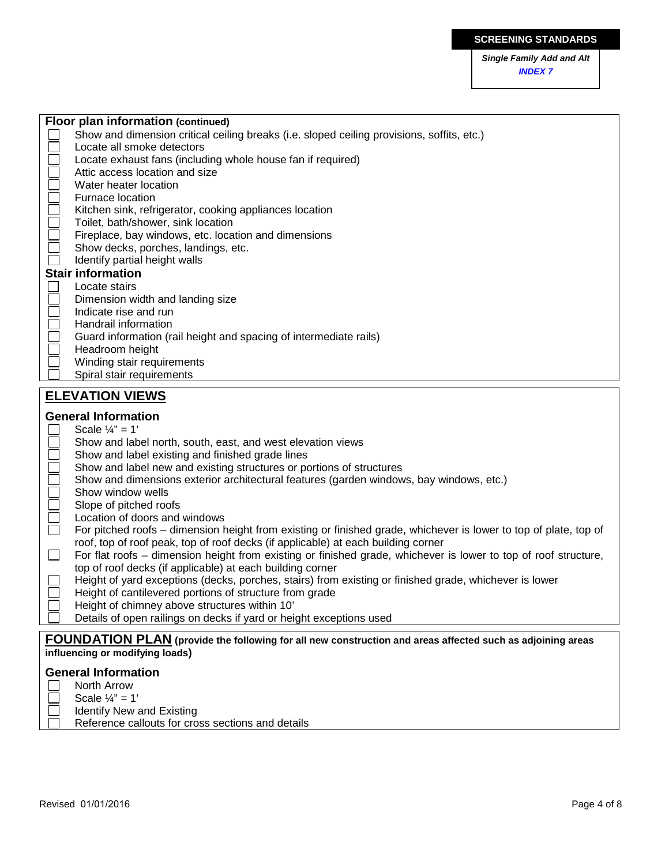*Single Family Add and Alt INDEX 7*

|                   | Show and dimension critical ceiling breaks (i.e. sloped ceiling provisions, soffits, etc.)                       |  |  |  |  |
|-------------------|------------------------------------------------------------------------------------------------------------------|--|--|--|--|
|                   | Locate all smoke detectors                                                                                       |  |  |  |  |
|                   | Locate exhaust fans (including whole house fan if required)                                                      |  |  |  |  |
|                   | Attic access location and size                                                                                   |  |  |  |  |
|                   | Water heater location                                                                                            |  |  |  |  |
|                   | Furnace location                                                                                                 |  |  |  |  |
|                   | Kitchen sink, refrigerator, cooking appliances location                                                          |  |  |  |  |
|                   | Toilet, bath/shower, sink location                                                                               |  |  |  |  |
|                   | Fireplace, bay windows, etc. location and dimensions                                                             |  |  |  |  |
|                   | Show decks, porches, landings, etc.                                                                              |  |  |  |  |
|                   | Identify partial height walls                                                                                    |  |  |  |  |
|                   | <b>Stair information</b>                                                                                         |  |  |  |  |
|                   | Locate stairs                                                                                                    |  |  |  |  |
|                   | Dimension width and landing size                                                                                 |  |  |  |  |
|                   | Indicate rise and run                                                                                            |  |  |  |  |
|                   | Handrail information                                                                                             |  |  |  |  |
|                   | Guard information (rail height and spacing of intermediate rails)                                                |  |  |  |  |
|                   | Headroom height                                                                                                  |  |  |  |  |
|                   | Winding stair requirements                                                                                       |  |  |  |  |
|                   | Spiral stair requirements                                                                                        |  |  |  |  |
|                   | <b>ELEVATION VIEWS</b>                                                                                           |  |  |  |  |
|                   |                                                                                                                  |  |  |  |  |
|                   | <b>General Information</b>                                                                                       |  |  |  |  |
|                   | Scale $\frac{1}{4}$ " = 1'                                                                                       |  |  |  |  |
|                   | Show and label north, south, east, and west elevation views                                                      |  |  |  |  |
|                   | Show and label existing and finished grade lines                                                                 |  |  |  |  |
|                   | Show and label new and existing structures or portions of structures                                             |  |  |  |  |
| $\Box$            | Show and dimensions exterior architectural features (garden windows, bay windows, etc.)                          |  |  |  |  |
| $\Box$            | Show window wells                                                                                                |  |  |  |  |
| $\Box$            | Slope of pitched roofs                                                                                           |  |  |  |  |
|                   | Location of doors and windows                                                                                    |  |  |  |  |
| $\overline{\Box}$ | For pitched roofs – dimension height from existing or finished grade, whichever is lower to top of plate, top of |  |  |  |  |
|                   | roof, top of roof peak, top of roof decks (if applicable) at each building corner                                |  |  |  |  |
| $\Box$            | For flat roofs – dimension height from existing or finished grade, whichever is lower to top of roof structure,  |  |  |  |  |
|                   | top of roof decks (if applicable) at each building corner                                                        |  |  |  |  |
|                   | Height of yard exceptions (decks, porches, stairs) from existing or finished grade, whichever is lower           |  |  |  |  |
|                   | Height of cantilevered portions of structure from grade                                                          |  |  |  |  |

- Height of chimney above structures within 10'
	- Details of open railings on decks if yard or height exceptions used

## **FOUNDATION PLAN (provide the following for all new construction and areas affected such as adjoining areas influencing or modifying loads)**

#### **General Information**

- North Arrow
	- Scale  $\frac{1}{4}$ " = 1'
		- Identify New and Existing

**Floor plan information (continued)**

Reference callouts for cross sections and details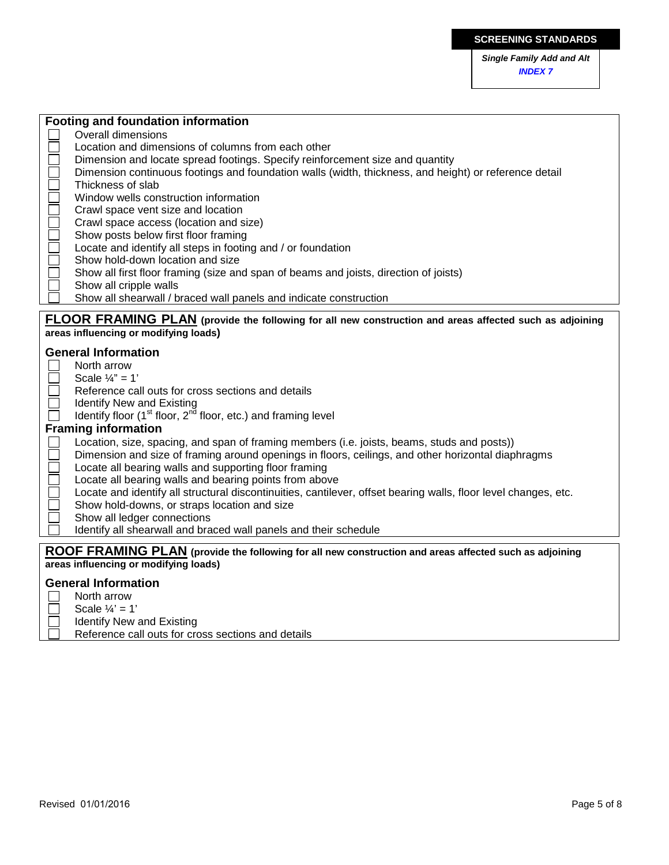#### **Footing and foundation information**

- Overall dimensions
- Location and dimensions of columns from each other
- Dimension and locate spread footings. Specify reinforcement size and quantity
- Dimension continuous footings and foundation walls (width, thickness, and height) or reference detail
- Thickness of slab
- Window wells construction information
- Crawl space vent size and location
- Crawl space access (location and size)
- Show posts below first floor framing
- Locate and identify all steps in footing and / or foundation
- Show hold-down location and size
- Show all first floor framing (size and span of beams and joists, direction of joists)
- Show all cripple walls
	- Show all shearwall / braced wall panels and indicate construction

#### **FLOOR FRAMING PLAN (provide the following for all new construction and areas affected such as adjoining areas influencing or modifying loads)**

#### **General Information**

- North arrow  $\mathbf{L}$
- Scale  $\frac{1}{4}$ " = 1'
- П Reference call outs for cross sections and details
- Identify New and Existing
- Identify floor  $(1<sup>st</sup>$  floor,  $2<sup>nd</sup>$  floor, etc.) and framing level

#### **Framing information**

- Location, size, spacing, and span of framing members (i.e. joists, beams, studs and posts))
- Dimension and size of framing around openings in floors, ceilings, and other horizontal diaphragms
- Locate all bearing walls and supporting floor framing
- П Locate all bearing walls and bearing points from above
- Locate and identify all structural discontinuities, cantilever, offset bearing walls, floor level changes, etc.
- Show hold-downs, or straps location and size
- Show all ledger connections
	- Identify all shearwall and braced wall panels and their schedule

#### **ROOF FRAMING PLAN (provide the following for all new construction and areas affected such as adjoining areas influencing or modifying loads)**

#### **General Information**

- North arrow
- Scale  $\frac{1}{4}$ ' = 1'
- Identify New and Existing
	- Reference call outs for cross sections and details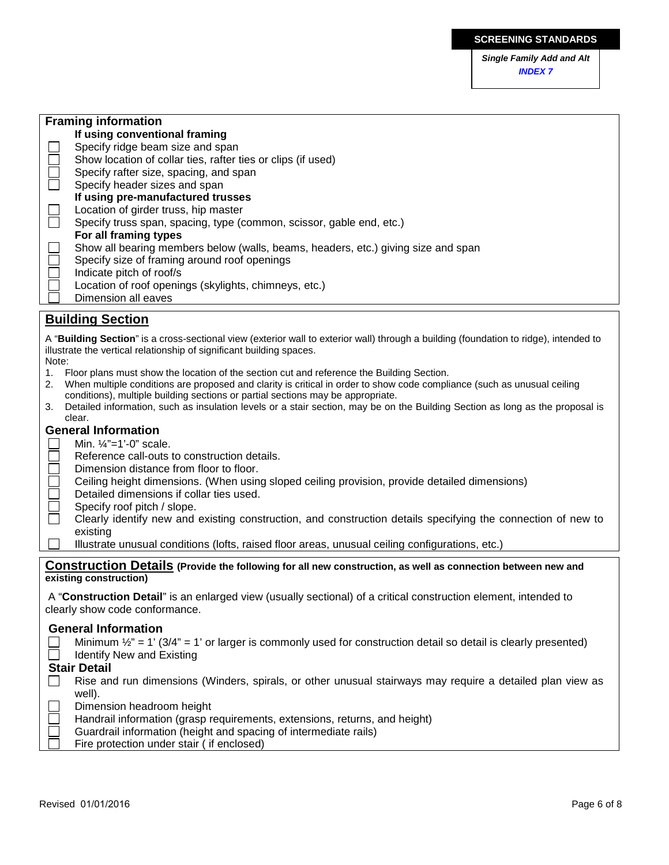*Single Family Add and Alt INDEX 7*

| <b>Framing information</b>                                                                                                            |  |  |  |  |
|---------------------------------------------------------------------------------------------------------------------------------------|--|--|--|--|
| If using conventional framing                                                                                                         |  |  |  |  |
| Specify ridge beam size and span                                                                                                      |  |  |  |  |
| Show location of collar ties, rafter ties or clips (if used)                                                                          |  |  |  |  |
| $\Box$<br>Specify rafter size, spacing, and span                                                                                      |  |  |  |  |
| Specify header sizes and span                                                                                                         |  |  |  |  |
| If using pre-manufactured trusses                                                                                                     |  |  |  |  |
| Location of girder truss, hip master                                                                                                  |  |  |  |  |
| $\Box$<br>Specify truss span, spacing, type (common, scissor, gable end, etc.)                                                        |  |  |  |  |
| For all framing types                                                                                                                 |  |  |  |  |
| Show all bearing members below (walls, beams, headers, etc.) giving size and span                                                     |  |  |  |  |
| Specify size of framing around roof openings                                                                                          |  |  |  |  |
| Indicate pitch of roof/s                                                                                                              |  |  |  |  |
| Location of roof openings (skylights, chimneys, etc.)                                                                                 |  |  |  |  |
| 38888<br>Dimension all eaves                                                                                                          |  |  |  |  |
|                                                                                                                                       |  |  |  |  |
| <b>Building Section</b>                                                                                                               |  |  |  |  |
| A "Building Section" is a cross-sectional view (exterior wall to exterior wall) through a building (foundation to ridge), intended to |  |  |  |  |
| illustrate the vertical relationship of significant building spaces.                                                                  |  |  |  |  |
| Note:                                                                                                                                 |  |  |  |  |
| 1. Floor plans must show the location of the section cut and reference the Building Section.                                          |  |  |  |  |
| When multiple conditions are proposed and clarity is critical in order to show code compliance (such as unusual ceiling<br>2.         |  |  |  |  |
| conditions), multiple building sections or partial sections may be appropriate.                                                       |  |  |  |  |
| Detailed information, such as insulation levels or a stair section, may be on the Building Section as long as the proposal is<br>3.   |  |  |  |  |
| clear.                                                                                                                                |  |  |  |  |
| <b>General Information</b>                                                                                                            |  |  |  |  |
| Min. $1/4$ "=1'-0" scale.                                                                                                             |  |  |  |  |
| Reference call-outs to construction details.                                                                                          |  |  |  |  |
| Dimension distance from floor to floor.                                                                                               |  |  |  |  |
| Ceiling height dimensions. (When using sloped ceiling provision, provide detailed dimensions)                                         |  |  |  |  |
| Detailed dimensions if collar ties used.                                                                                              |  |  |  |  |
| $\Box$ $\Box$ $\Box$ $\Box$ $\Box$<br>Specify roof pitch / slope.                                                                     |  |  |  |  |
| Clearly identify new and existing construction, and construction details specifying the connection of new to                          |  |  |  |  |
| existing                                                                                                                              |  |  |  |  |
| Illustrate unusual conditions (lofts, raised floor areas, unusual ceiling configurations, etc.)                                       |  |  |  |  |
|                                                                                                                                       |  |  |  |  |
| Construction Details (Provide the following for all new construction, as well as connection between new and                           |  |  |  |  |
| existing construction)                                                                                                                |  |  |  |  |
| A "Construction Detail" is an enlarged view (usually sectional) of a critical construction element, intended to                       |  |  |  |  |
| clearly show code conformance.                                                                                                        |  |  |  |  |
| <b>General Information</b>                                                                                                            |  |  |  |  |
| Minimum $\frac{1}{2}$ " = 1' (3/4" = 1' or larger is commonly used for construction detail so detail is clearly presented)            |  |  |  |  |
|                                                                                                                                       |  |  |  |  |
| Identify New and Existing                                                                                                             |  |  |  |  |
| <b>Stair Detail</b>                                                                                                                   |  |  |  |  |
| Rise and run dimensions (Winders, spirals, or other unusual stairways may require a detailed plan view as                             |  |  |  |  |
| well).                                                                                                                                |  |  |  |  |
| Dimension headroom height                                                                                                             |  |  |  |  |
| Handrail information (grasp requirements, extensions, returns, and height)                                                            |  |  |  |  |
| Guardrail information (height and spacing of intermediate rails)                                                                      |  |  |  |  |
| Fire protection under stair ( if enclosed)                                                                                            |  |  |  |  |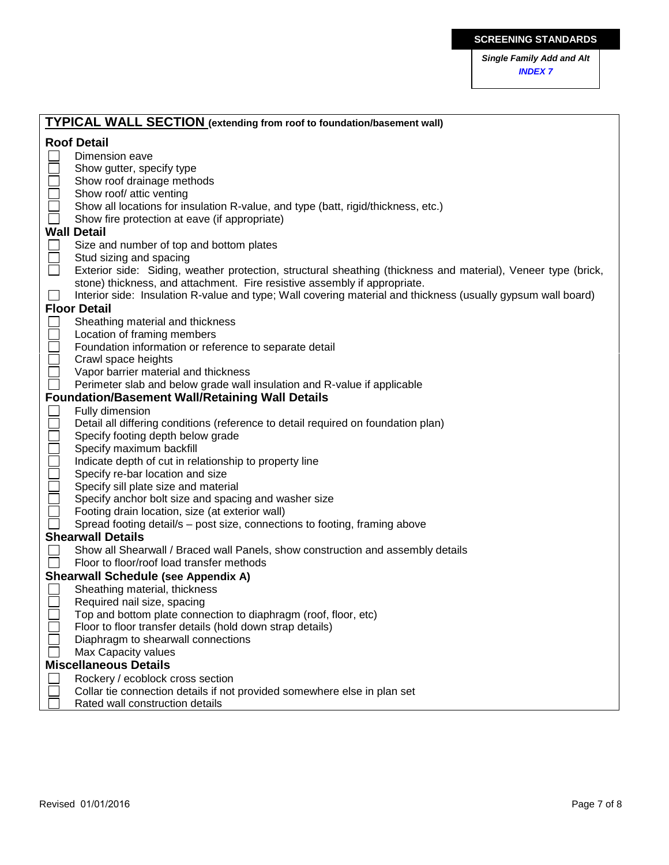*Single Family Add and Alt INDEX 7*

|   | <b>TYPICAL WALL SECTION</b> (extending from roof to foundation/basement wall)                                 |  |  |  |  |
|---|---------------------------------------------------------------------------------------------------------------|--|--|--|--|
|   | <b>Roof Detail</b>                                                                                            |  |  |  |  |
|   | Dimension eave                                                                                                |  |  |  |  |
|   | Show gutter, specify type                                                                                     |  |  |  |  |
|   | Show roof drainage methods                                                                                    |  |  |  |  |
|   | Show roof/ attic venting                                                                                      |  |  |  |  |
|   | Show all locations for insulation R-value, and type (batt, rigid/thickness, etc.)                             |  |  |  |  |
|   | Show fire protection at eave (if appropriate)                                                                 |  |  |  |  |
|   | <b>Wall Detail</b>                                                                                            |  |  |  |  |
|   | Size and number of top and bottom plates                                                                      |  |  |  |  |
|   | Stud sizing and spacing                                                                                       |  |  |  |  |
| П | Exterior side: Siding, weather protection, structural sheathing (thickness and material), Veneer type (brick, |  |  |  |  |
|   | stone) thickness, and attachment. Fire resistive assembly if appropriate.                                     |  |  |  |  |
|   | Interior side: Insulation R-value and type; Wall covering material and thickness (usually gypsum wall board)  |  |  |  |  |
|   | <b>Floor Detail</b>                                                                                           |  |  |  |  |
|   | Sheathing material and thickness                                                                              |  |  |  |  |
|   | Location of framing members                                                                                   |  |  |  |  |
|   | Foundation information or reference to separate detail                                                        |  |  |  |  |
|   | Crawl space heights                                                                                           |  |  |  |  |
|   | Vapor barrier material and thickness                                                                          |  |  |  |  |
|   | Perimeter slab and below grade wall insulation and R-value if applicable                                      |  |  |  |  |
|   | <b>Foundation/Basement Wall/Retaining Wall Details</b>                                                        |  |  |  |  |
|   | Fully dimension                                                                                               |  |  |  |  |
|   | Detail all differing conditions (reference to detail required on foundation plan)                             |  |  |  |  |
|   | Specify footing depth below grade                                                                             |  |  |  |  |
|   | Specify maximum backfill                                                                                      |  |  |  |  |
|   | Indicate depth of cut in relationship to property line                                                        |  |  |  |  |
|   | Specify re-bar location and size                                                                              |  |  |  |  |
|   | Specify sill plate size and material                                                                          |  |  |  |  |
|   | Specify anchor bolt size and spacing and washer size                                                          |  |  |  |  |
|   | Footing drain location, size (at exterior wall)                                                               |  |  |  |  |
|   | Spread footing detail/s - post size, connections to footing, framing above                                    |  |  |  |  |
|   | <b>Shearwall Details</b>                                                                                      |  |  |  |  |
|   | Show all Shearwall / Braced wall Panels, show construction and assembly details                               |  |  |  |  |
|   | Floor to floor/roof load transfer methods                                                                     |  |  |  |  |
|   | <b>Shearwall Schedule (see Appendix A)</b>                                                                    |  |  |  |  |
|   | Sheathing material, thickness                                                                                 |  |  |  |  |
|   | Required nail size, spacing<br>Top and bottom plate connection to diaphragm (roof, floor, etc)                |  |  |  |  |
|   | Floor to floor transfer details (hold down strap details)                                                     |  |  |  |  |
|   | Diaphragm to shearwall connections                                                                            |  |  |  |  |
|   | Max Capacity values                                                                                           |  |  |  |  |
|   | <b>Miscellaneous Details</b>                                                                                  |  |  |  |  |
|   | Rockery / ecoblock cross section                                                                              |  |  |  |  |
|   | Collar tie connection details if not provided somewhere else in plan set                                      |  |  |  |  |
|   | Rated wall construction details                                                                               |  |  |  |  |
|   |                                                                                                               |  |  |  |  |